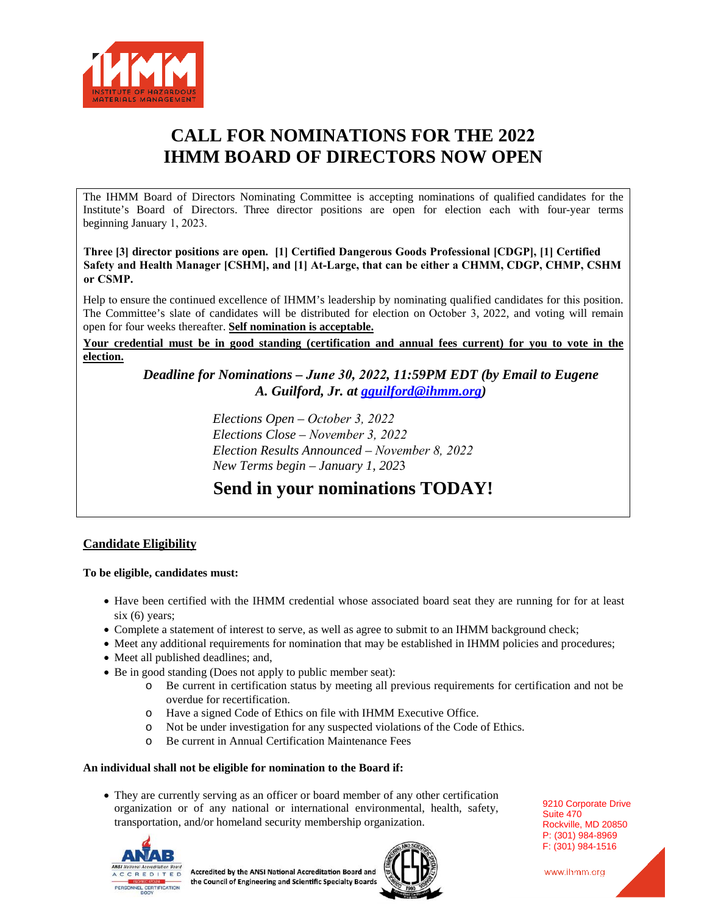

# **CALL FOR NOMINATIONS FOR THE 2022 IHMM BOARD OF DIRECTORS NOW OPEN**

The IHMM Board of Directors Nominating Committee is accepting nominations of qualified candidates for the Institute's Board of Directors. Three director positions are open for election each with four-year terms beginning January 1, 2023.

**Three [3] director positions are open. [1] Certified Dangerous Goods Professional [CDGP], [1] Certified Safety and Health Manager [CSHM], and [1] At-Large, that can be either a CHMM, CDGP, CHMP, CSHM or CSMP.**

Help to ensure the continued excellence of IHMM's leadership by nominating qualified candidates for this position. The Committee's slate of candidates will be distributed for election on October 3, 2022, and voting will remain open for four weeks thereafter. **Self nomination is acceptable.**

**Your credential must be in good standing (certification and annual fees current) for you to vote in the election.**

*Deadline for Nominations – June 30, 2022, 11:59PM EDT (by Email to Eugene A. Guilford, Jr. at gguilford@ihmm.org)*

> *Elections Open – October 3, 2022 Elections Close – November 3, 2022 Election Results Announced – November 8, 2022 New Terms begin – January 1, 202*3

## **Send in your nominations TODAY!**

## **Candidate Eligibility**

**To be eligible, candidates must:** 

- Have been certified with the IHMM credential whose associated board seat they are running for for at least six (6) years;
- Complete a statement of interest to serve, as well as agree to submit to an IHMM background check;
- Meet any additional requirements for nomination that may be established in IHMM policies and procedures;
- Meet all published deadlines; and,
- Be in good standing (Does not apply to public member seat):
	- o Be current in certification status by meeting all previous requirements for certification and not be overdue for recertification.
	- o Have a signed Code of Ethics on file with IHMM Executive Office.
	- o Not be under investigation for any suspected violations of the Code of Ethics.
	- o Be current in Annual Certification Maintenance Fees

## **An individual shall not be eligible for nomination to the Board if:**

• They are currently serving as an officer or board member of any other certification organization or of any national or international environmental, health, safety, transportation, and/or homeland security membership organization.





9210 Corporate Drive Suite 470 Rockville, MD 20850 P: (301) 984-8969 F: (301) 984-1516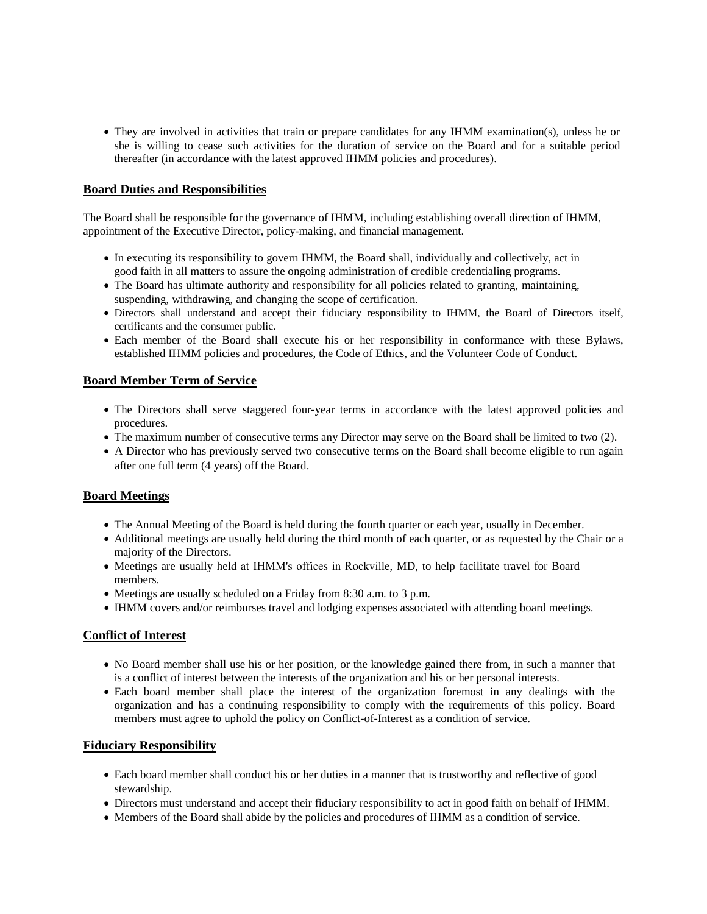• They are involved in activities that train or prepare candidates for any IHMM examination(s), unless he or she is willing to cease such activities for the duration of service on the Board and for a suitable period thereafter (in accordance with the latest approved IHMM policies and procedures).

## **Board Duties and Responsibilities**

The Board shall be responsible for the governance of IHMM, including establishing overall direction of IHMM, appointment of the Executive Director, policy-making, and financial management.

- In executing its responsibility to govern IHMM, the Board shall, individually and collectively, act in good faith in all matters to assure the ongoing administration of credible credentialing programs.
- The Board has ultimate authority and responsibility for all policies related to granting, maintaining, suspending, withdrawing, and changing the scope of certification.
- Directors shall understand and accept their fiduciary responsibility to IHMM, the Board of Directors itself, certificants and the consumer public.
- Each member of the Board shall execute his or her responsibility in conformance with these Bylaws, established IHMM policies and procedures, the Code of Ethics, and the Volunteer Code of Conduct.

#### **Board Member Term of Service**

- The Directors shall serve staggered four-year terms in accordance with the latest approved policies and procedures.
- The maximum number of consecutive terms any Director may serve on the Board shall be limited to two (2).
- A Director who has previously served two consecutive terms on the Board shall become eligible to run again after one full term (4 years) off the Board.

## **Board Meetings**

- The Annual Meeting of the Board is held during the fourth quarter or each year, usually in December.
- Additional meetings are usually held during the third month of each quarter, or as requested by the Chair or a majority of the Directors.
- Meetings are usually held at IHMM's offices in Rockville, MD, to help facilitate travel for Board members.
- Meetings are usually scheduled on a Friday from 8:30 a.m. to 3 p.m.
- IHMM covers and/or reimburses travel and lodging expenses associated with attending board meetings.

#### **Conflict of Interest**

- No Board member shall use his or her position, or the knowledge gained there from, in such a manner that is a conflict of interest between the interests of the organization and his or her personal interests.
- Each board member shall place the interest of the organization foremost in any dealings with the organization and has a continuing responsibility to comply with the requirements of this policy. Board members must agree to uphold the policy on Conflict-of-Interest as a condition of service.

#### **Fiduciary Responsibility**

- Each board member shall conduct his or her duties in a manner that is trustworthy and reflective of good stewardship.
- Directors must understand and accept their fiduciary responsibility to act in good faith on behalf of IHMM.
- Members of the Board shall abide by the policies and procedures of IHMM as a condition of service.